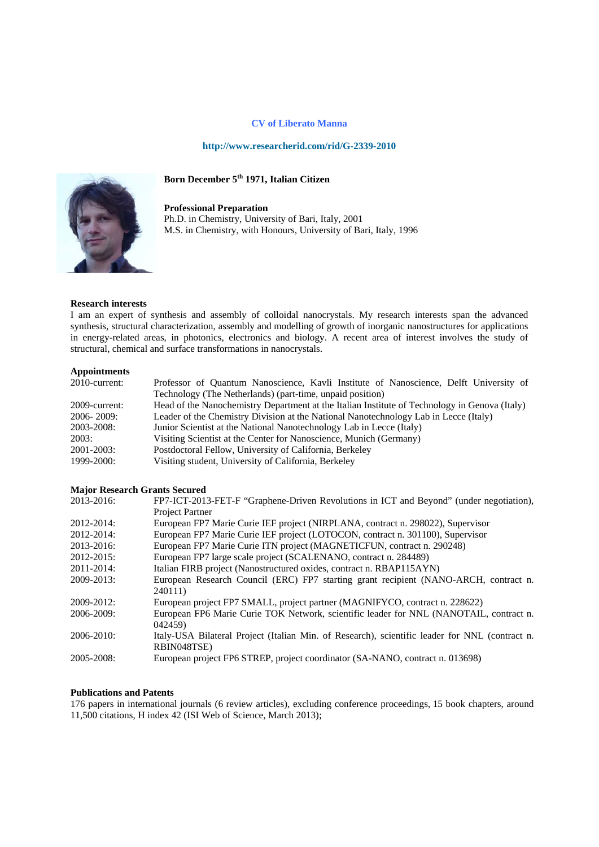## **CV** of Liberato Manna

#### http://www.researcherid.com/rid/G-2339-2010

Born December 5<sup>th</sup> 1971, Italian Citizen



**Professional Preparation** Ph.D. in Chemistry, University of Bari, Italy, 2001 M.S. in Chemistry, with Honours, University of Bari, Italy, 1996

#### **Research interests**

I am an expert of synthesis and assembly of colloidal nanocrystals. My research interests span the advanced synthesis, structural characterization, assembly and modelling of growth of inorganic nanostructures for applications in energy-related areas, in photonics, electronics and biology. A recent area of interest involves the study of structural, chemical and surface transformations in nanocrystals.

# **Appointments**

| $2010$ -current: | Professor of Quantum Nanoscience, Kavli Institute of Nanoscience, Delft University of         |
|------------------|-----------------------------------------------------------------------------------------------|
|                  | Technology (The Netherlands) (part-time, unpaid position)                                     |
| 2009-current:    | Head of the Nanochemistry Department at the Italian Institute of Technology in Genova (Italy) |
| $2006 - 2009$ :  | Leader of the Chemistry Division at the National Nanotechnology Lab in Lecce (Italy)          |
| 2003-2008:       | Junior Scientist at the National Nanotechnology Lab in Lecce (Italy)                          |
| 2003:            | Visiting Scientist at the Center for Nanoscience, Munich (Germany)                            |
| 2001-2003:       | Postdoctoral Fellow, University of California, Berkeley                                       |
| 1999-2000:       | Visiting student, University of California, Berkeley                                          |

## **Major Research Grants Secured**

| 2013-2016:      | FP7-ICT-2013-FET-F "Graphene-Driven Revolutions in ICT and Beyond" (under negotiation),        |
|-----------------|------------------------------------------------------------------------------------------------|
|                 | <b>Project Partner</b>                                                                         |
| $2012 - 2014$ : | European FP7 Marie Curie IEF project (NIRPLANA, contract n. 298022), Supervisor                |
| 2012-2014:      | European FP7 Marie Curie IEF project (LOTOCON, contract n. 301100), Supervisor                 |
| 2013-2016:      | European FP7 Marie Curie ITN project (MAGNETICFUN, contract n. 290248)                         |
| 2012-2015:      | European FP7 large scale project (SCALENANO, contract n. 284489)                               |
| 2011-2014:      | Italian FIRB project (Nanostructured oxides, contract n. RBAP115AYN)                           |
| 2009-2013:      | European Research Council (ERC) FP7 starting grant recipient (NANO-ARCH, contract n.           |
|                 | 240111)                                                                                        |
| 2009-2012:      | European project FP7 SMALL, project partner (MAGNIFYCO, contract n. 228622)                    |
| 2006-2009:      | European FP6 Marie Curie TOK Network, scientific leader for NNL (NANOTAIL, contract n.         |
|                 | 042459)                                                                                        |
| 2006-2010:      | Italy-USA Bilateral Project (Italian Min. of Research), scientific leader for NNL (contract n. |
|                 | RBIN048TSE)                                                                                    |
| 2005-2008:      | European project FP6 STREP, project coordinator (SA-NANO, contract n. 013698)                  |

### **Publications and Patents**

176 papers in international journals (6 review articles), excluding conference proceedings, 15 book chapters, around 11,500 citations, H index 42 (ISI Web of Science, March 2013);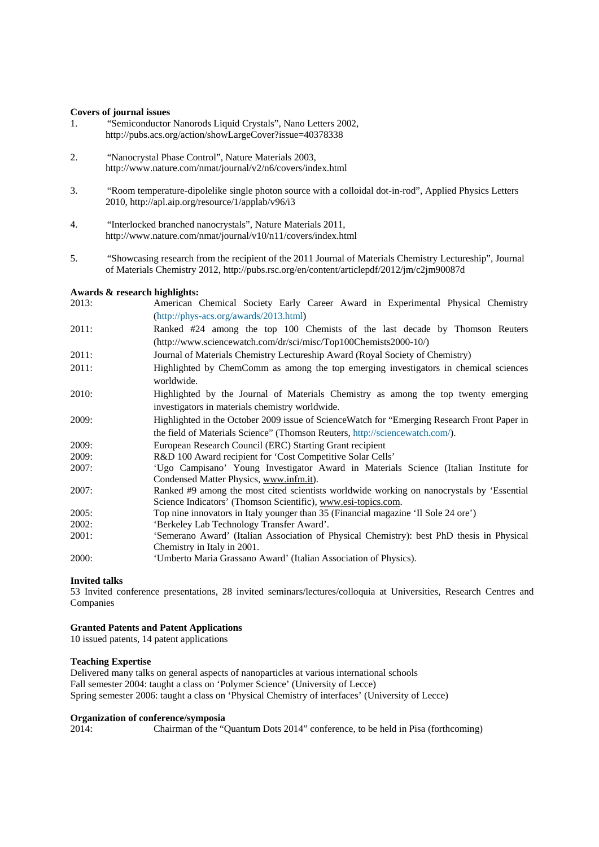#### **Covers of journal issues**

| "Semiconductor Nanorods Liquid Crystals", Nano Letters 2002, |
|--------------------------------------------------------------|
| http://pubs.acs.org/action/showLargeCover?issue=40378338     |

- 2. "Nanocrystal Phase Control", Nature Materials 2003, http://www.nature.com/nmat/journal/v2/n6/covers/index.html
- 3. "Room temperature-dipolelike single photon source with a colloidal dot-in-rod", Applied Physics Letters 2010, http://apl.aip.org/resource/1/applab/v96/i3
- 4. "Interlocked branched nanocrystals", Nature Materials 2011, http://www.nature.com/nmat/journal/v10/n11/covers/index.html
- 5. "Showcasing research from the recipient of the 2011 Journal of Materials Chemistry Lectureship", Journal of Materials Chemistry 2012, http://pubs.rsc.org/en/content/articlepdf/2012/jm/c2jm90087d

## **Awards & research highlights:**

| 2013: | American Chemical Society Early Career Award in Experimental Physical Chemistry                                                                                             |
|-------|-----------------------------------------------------------------------------------------------------------------------------------------------------------------------------|
|       | $(http://phys-acs.org/awards/2013.html)$                                                                                                                                    |
| 2011: | Ranked #24 among the top 100 Chemists of the last decade by Thomson Reuters                                                                                                 |
|       | (http://www.sciencewatch.com/dr/sci/misc/Top100Chemists2000-10/)                                                                                                            |
| 2011: | Journal of Materials Chemistry Lectureship Award (Royal Society of Chemistry)                                                                                               |
| 2011: | Highlighted by ChemComm as among the top emerging investigators in chemical sciences<br>worldwide.                                                                          |
| 2010: | Highlighted by the Journal of Materials Chemistry as among the top twenty emerging<br>investigators in materials chemistry worldwide.                                       |
| 2009: | Highlighted in the October 2009 issue of ScienceWatch for "Emerging Research Front Paper in<br>the field of Materials Science" (Thomson Reuters, http://sciencewatch.com/). |
| 2009: | European Research Council (ERC) Starting Grant recipient                                                                                                                    |
| 2009: | R&D 100 Award recipient for 'Cost Competitive Solar Cells'                                                                                                                  |
| 2007: | 'Ugo Campisano' Young Investigator Award in Materials Science (Italian Institute for<br>Condensed Matter Physics, www.infm.it).                                             |
| 2007: | Ranked #9 among the most cited scientists worldwide working on nanocrystals by 'Essential<br>Science Indicators' (Thomson Scientific), www.esi-topics.com.                  |
| 2005: | Top nine innovators in Italy younger than 35 (Financial magazine 'Il Sole 24 ore')                                                                                          |
| 2002: | 'Berkeley Lab Technology Transfer Award'.                                                                                                                                   |
| 2001: | 'Semerano Award' (Italian Association of Physical Chemistry): best PhD thesis in Physical<br>Chemistry in Italy in 2001.                                                    |
| 2000: | 'Umberto Maria Grassano Award' (Italian Association of Physics).                                                                                                            |

#### **Invited talks**

53 Invited conference presentations, 28 invited seminars/lectures/colloquia at Universities, Research Centres and Companies

# **Granted Patents and Patent Applications**

10 issued patents, 14 patent applications

## **Teaching Expertise**

Delivered many talks on general aspects of nanoparticles at various international schools Fall semester 2004: taught a class on 'Polymer Science' (University of Lecce) Spring semester 2006: taught a class on 'Physical Chemistry of interfaces' (University of Lecce)

### **Organization of conference/symposia**

2014: Chairman of the "Quantum Dots 2014" conference, to be held in Pisa (forthcoming)